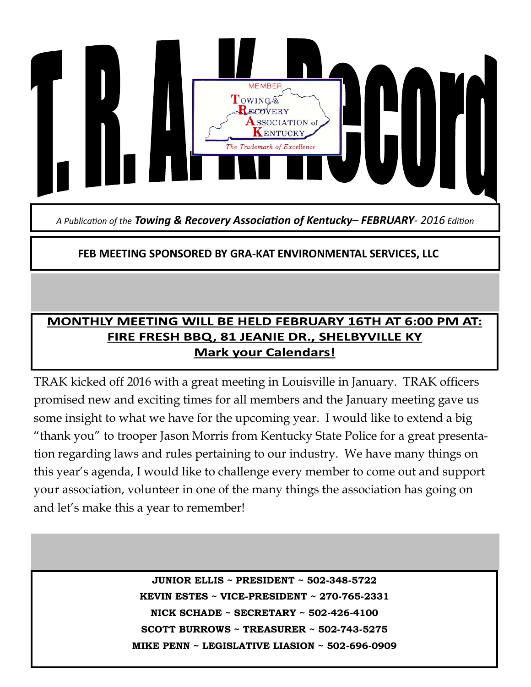

*A Publication of the Towing & Recovery Association of Kentucky– FEBRUARY- 2016 Edition*

# **FEB MEETING SPONSORED BY GRA-KAT ENVIRONMENTAL SERVICES, LLC**

# MONTHLY MEETING WILL BE HELD FEBRUARY 16TH AT 6:00 PM AT: FIRE FRESH BBQ, 81 JEANIE DR., SHELBYVILLE KY **Mark your Calendars!**

TRAK kicked off 2016 with a great meeting in Louisville in January. TRAK officers promised new and exciting times for all members and the January meeting gave us some insight to what we have for the upcoming year. I would like to extend a big "thank you" to trooper Jason Morris from Kentucky State Police for a great presentation regarding laws and rules pertaining to our industry. We have many things on this year's agenda, I would like to challenge every member to come out and support your association, volunteer in one of the many things the association has going on and let's make this a year to remember!

> **JUNIOR ELLIS ~ PRESIDENT ~ 502-348-5722 KEVIN ESTES ~ VICE-PRESIDENT ~ 270-765-2331 NICK SCHADE ~ SECRETARY ~ 502-426-4100 SCOTT BURROWS ~ TREASURER ~ 502-743-5275 MIKE PENN ~ LEGISLATIVE LIASION ~ 502-696-0909**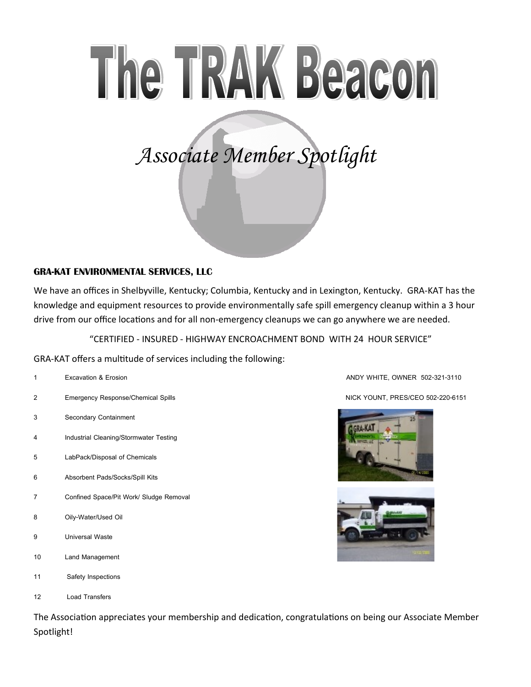# The TRAK Beacon

*Associate Member Spotlight*

## **GRA-KAT ENVIRONMENTAL SERVICES, LLC**

We have an offices in Shelbyville, Kentucky; Columbia, Kentucky and in Lexington, Kentucky. GRA-KAT has the knowledge and equipment resources to provide environmentally safe spill emergency cleanup within a 3 hour drive from our office locations and for all non-emergency cleanups we can go anywhere we are needed.

"CERTIFIED - INSURED - HIGHWAY ENCROACHMENT BOND WITH 24 HOUR SERVICE"

GRA-KAT offers a multitude of services including the following:

| 1              | <b>Excavation &amp; Erosion</b>           |
|----------------|-------------------------------------------|
| 2              | <b>Emergency Response/Chemical Spills</b> |
| 3              | Secondary Containment                     |
| $\overline{4}$ | Industrial Cleaning/Stormwater Testing    |
| 5              | LabPack/Disposal of Chemicals             |
| 6              | Absorbent Pads/Socks/Spill Kits           |
| $\overline{7}$ | Confined Space/Pit Work/ Sludge Removal   |
| 8              | Oily-Water/Used Oil                       |
| 9              | <b>Universal Waste</b>                    |
| 10             | Land Management                           |
| 11             | Safety Inspections                        |
| 12             | <b>Load Transfers</b>                     |

**1 Excavation & Erosion ANDY WHITE, OWNER 502-321-3110**

**2 Emergency Response/Chemical Spills NICK YOUNT, PRES/CEO 502-220-6151**





The Association appreciates your membership and dedication, congratulations on being our Associate Member Spotlight!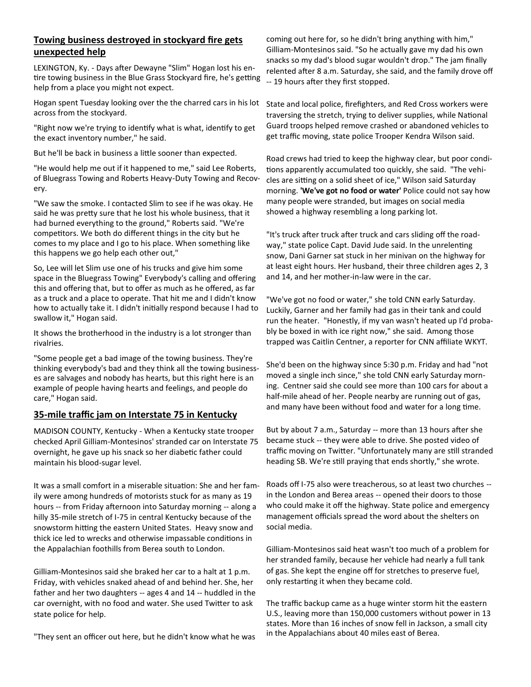### **Towing business destroyed in stockyard fire gets unexpected help**

LEXINGTON, Ky. - Days after Dewayne "Slim" Hogan lost his entire towing business in the Blue Grass Stockyard fire, he's getting help from a place you might not expect.

Hogan spent Tuesday looking over the the charred cars in his lot across from the stockyard.

"Right now we're trying to identify what is what, identify to get the exact inventory number," he said.

But he'll be back in business a little sooner than expected.

"He would help me out if it happened to me," said Lee Roberts, of Bluegrass Towing and Roberts Heavy-Duty Towing and Recovery.

"We saw the smoke. I contacted Slim to see if he was okay. He said he was pretty sure that he lost his whole business, that it had burned everything to the ground," Roberts said. "We're competitors. We both do different things in the city but he comes to my place and I go to his place. When something like this happens we go help each other out,"

So, Lee will let Slim use one of his trucks and give him some space in the Bluegrass Towing" Everybody's calling and offering this and offering that, but to offer as much as he offered, as far as a truck and a place to operate. That hit me and I didn't know how to actually take it. I didn't initially respond because I had to swallow it," Hogan said.

It shows the brotherhood in the industry is a lot stronger than rivalries.

"Some people get a bad image of the towing business. They're thinking everybody's bad and they think all the towing businesses are salvages and nobody has hearts, but this right here is an example of people having hearts and feelings, and people do care," Hogan said.

#### **35-mile traffic jam on Interstate 75 in Kentucky**

MADISON COUNTY, Kentucky - When a Kentucky state trooper checked April Gilliam-Montesinos' stranded car on Interstate 75 overnight, he gave up his snack so her diabetic father could maintain his blood-sugar level.

It was a small comfort in a miserable situation: She and her family were among hundreds of motorists stuck for as many as 19 hours -- from Friday afternoon into Saturday morning -- along a hilly 35-mile stretch of I-75 in central Kentucky because of the snowstorm hitting the eastern United States. Heavy snow and thick ice led to wrecks and otherwise impassable conditions in the Appalachian foothills from Berea south to London.

Gilliam-Montesinos said she braked her car to a halt at 1 p.m. Friday, with vehicles snaked ahead of and behind her. She, her father and her two daughters -- ages 4 and 14 -- huddled in the car overnight, with no food and water. She used Twitter to ask state police for help.

"They sent an officer out here, but he didn't know what he was

coming out here for, so he didn't bring anything with him," Gilliam-Montesinos said. "So he actually gave my dad his own snacks so my dad's blood sugar wouldn't drop." The jam finally relented after 8 a.m. Saturday, she said, and the family drove off -- 19 hours after they first stopped.

State and local police, firefighters, and Red Cross workers were traversing the stretch, trying to deliver supplies, while National Guard troops helped remove crashed or abandoned vehicles to get traffic moving, state police Trooper Kendra Wilson said.

Road crews had tried to keep the highway clear, but poor conditions apparently accumulated too quickly, she said. "The vehicles are sitting on a solid sheet of ice," Wilson said Saturday morning. **'We've got no food or water'** Police could not say how many people were stranded, but images on social media showed a highway resembling a long parking lot.

"It's truck after truck after truck and cars sliding off the roadway," state police Capt. David Jude said. In the unrelenting snow, Dani Garner sat stuck in her minivan on the highway for at least eight hours. Her husband, their three children ages 2, 3 and 14, and her mother-in-law were in the car.

"We've got no food or water," she told CNN early Saturday. Luckily, Garner and her family had gas in their tank and could run the heater. "Honestly, if my van wasn't heated up I'd probably be boxed in with ice right now," she said. Among those trapped was Caitlin Centner, a reporter for CNN affiliate WKYT.

She'd been on the highway since 5:30 p.m. Friday and had "not moved a single inch since," she told CNN early Saturday morning. Centner said she could see more than 100 cars for about a half-mile ahead of her. People nearby are running out of gas, and many have been without food and water for a long time.

But by about 7 a.m., Saturday -- more than 13 hours after she became stuck -- they were able to drive. She posted video of traffic moving on Twitter. "Unfortunately many are still stranded heading SB. We're still praying that ends shortly," she wrote.

Roads off I-75 also were treacherous, so at least two churches - in the London and Berea areas -- opened their doors to those who could make it off the highway. State police and emergency management officials spread the word about the shelters on social media.

Gilliam-Montesinos said heat wasn't too much of a problem for her stranded family, because her vehicle had nearly a full tank of gas. She kept the engine off for stretches to preserve fuel, only restarting it when they became cold.

The traffic backup came as a huge winter storm hit the eastern U.S., leaving more than 150,000 customers without power in 13 states. More than 16 inches of snow fell in Jackson, a small city in the Appalachians about 40 miles east of Berea.